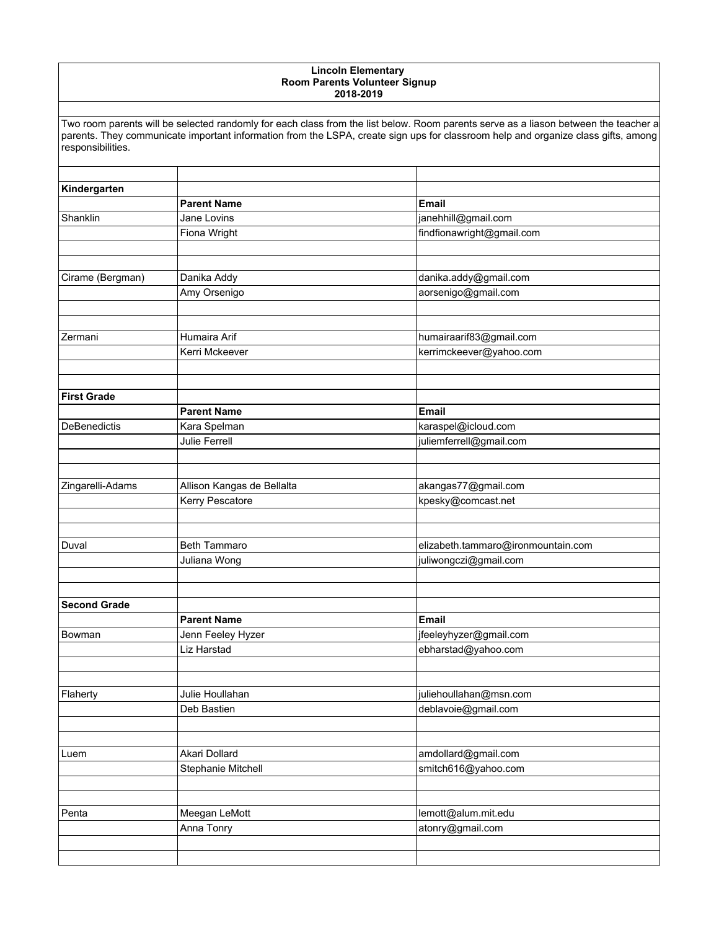## **Lincoln Elementary Room Parents Volunteer Signup 2018-2019**

|                     |                            | Two room parents will be selected randomly for each class from the list below. Room parents serve as a liason between the teacher a<br>parents. They communicate important information from the LSPA, create sign ups for classroom help and organize class gifts, among |
|---------------------|----------------------------|--------------------------------------------------------------------------------------------------------------------------------------------------------------------------------------------------------------------------------------------------------------------------|
| responsibilities.   |                            |                                                                                                                                                                                                                                                                          |
|                     |                            |                                                                                                                                                                                                                                                                          |
| Kindergarten        |                            |                                                                                                                                                                                                                                                                          |
|                     | <b>Parent Name</b>         | <b>Email</b>                                                                                                                                                                                                                                                             |
| Shanklin            | Jane Lovins                | janehhill@gmail.com                                                                                                                                                                                                                                                      |
|                     | Fiona Wright               | findfionawright@gmail.com                                                                                                                                                                                                                                                |
| Cirame (Bergman)    | Danika Addy                | danika.addy@gmail.com                                                                                                                                                                                                                                                    |
|                     | Amy Orsenigo               | aorsenigo@gmail.com                                                                                                                                                                                                                                                      |
|                     | Humaira Arif               |                                                                                                                                                                                                                                                                          |
| Zermani             |                            | humairaarif83@gmail.com                                                                                                                                                                                                                                                  |
|                     | Kerri Mckeever             | kerrimckeever@yahoo.com                                                                                                                                                                                                                                                  |
| <b>First Grade</b>  |                            |                                                                                                                                                                                                                                                                          |
|                     | <b>Parent Name</b>         | <b>Email</b>                                                                                                                                                                                                                                                             |
| <b>DeBenedictis</b> | Kara Spelman               | karaspel@icloud.com                                                                                                                                                                                                                                                      |
|                     | <b>Julie Ferrell</b>       | juliemferrell@gmail.com                                                                                                                                                                                                                                                  |
| Zingarelli-Adams    | Allison Kangas de Bellalta | akangas77@gmail.com                                                                                                                                                                                                                                                      |
|                     | Kerry Pescatore            | kpesky@comcast.net                                                                                                                                                                                                                                                       |
| Duval               | Beth Tammaro               | elizabeth.tammaro@ironmountain.com                                                                                                                                                                                                                                       |
|                     | Juliana Wong               | juliwongczi@gmail.com                                                                                                                                                                                                                                                    |
|                     |                            |                                                                                                                                                                                                                                                                          |
| <b>Second Grade</b> |                            |                                                                                                                                                                                                                                                                          |
|                     | <b>Parent Name</b>         | <b>Email</b>                                                                                                                                                                                                                                                             |
| Bowman              | Jenn Feeley Hyzer          | jfeeleyhyzer@gmail.com                                                                                                                                                                                                                                                   |
|                     | Liz Harstad                | ebharstad@yahoo.com                                                                                                                                                                                                                                                      |
| Flaherty            | Julie Houllahan            | juliehoullahan@msn.com                                                                                                                                                                                                                                                   |
|                     | Deb Bastien                | deblavoie@gmail.com                                                                                                                                                                                                                                                      |
| Luem                | Akari Dollard              | amdollard@gmail.com                                                                                                                                                                                                                                                      |
|                     | Stephanie Mitchell         | smitch616@yahoo.com                                                                                                                                                                                                                                                      |
|                     |                            |                                                                                                                                                                                                                                                                          |
| Penta               | Meegan LeMott              | lemott@alum.mit.edu                                                                                                                                                                                                                                                      |
|                     | Anna Tonry                 | atonry@gmail.com                                                                                                                                                                                                                                                         |
|                     |                            |                                                                                                                                                                                                                                                                          |